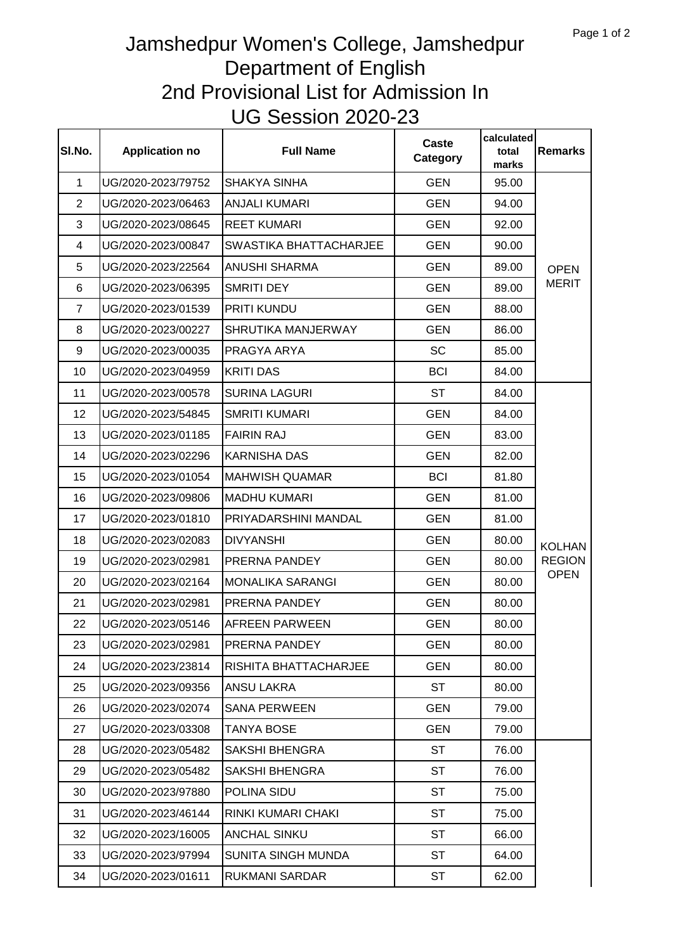## Jamshedpur Women's College, Jamshedpur Department of English 2nd Provisional List for Admission In UG Session 2020-23

| SI.No.         | <b>Application no</b> | <b>Full Name</b>        | Caste<br>Category | calculated<br>total<br>marks | <b>Remarks</b>                                |
|----------------|-----------------------|-------------------------|-------------------|------------------------------|-----------------------------------------------|
| $\mathbf{1}$   | UG/2020-2023/79752    | <b>SHAKYA SINHA</b>     | <b>GEN</b>        | 95.00                        | <b>OPEN</b><br><b>MERIT</b>                   |
| $\overline{2}$ | UG/2020-2023/06463    | <b>ANJALI KUMARI</b>    | <b>GEN</b>        | 94.00                        |                                               |
| 3              | UG/2020-2023/08645    | <b>REET KUMARI</b>      | <b>GEN</b>        | 92.00                        |                                               |
| 4              | UG/2020-2023/00847    | SWASTIKA BHATTACHARJEE  | <b>GEN</b>        | 90.00                        |                                               |
| 5              | UG/2020-2023/22564    | <b>ANUSHI SHARMA</b>    | <b>GEN</b>        | 89.00                        |                                               |
| 6              | UG/2020-2023/06395    | <b>SMRITI DEY</b>       | <b>GEN</b>        | 89.00                        |                                               |
| $\overline{7}$ | UG/2020-2023/01539    | PRITI KUNDU             | <b>GEN</b>        | 88.00                        |                                               |
| 8              | UG/2020-2023/00227    | SHRUTIKA MANJERWAY      | <b>GEN</b>        | 86.00                        |                                               |
| 9              | UG/2020-2023/00035    | PRAGYA ARYA             | <b>SC</b>         | 85.00                        |                                               |
| 10             | UG/2020-2023/04959    | <b>KRITI DAS</b>        | <b>BCI</b>        | 84.00                        |                                               |
| 11             | UG/2020-2023/00578    | <b>SURINA LAGURI</b>    | <b>ST</b>         | 84.00                        | <b>KOLHAN</b><br><b>REGION</b><br><b>OPEN</b> |
| 12             | UG/2020-2023/54845    | <b>SMRITI KUMARI</b>    | <b>GEN</b>        | 84.00                        |                                               |
| 13             | UG/2020-2023/01185    | <b>FAIRIN RAJ</b>       | <b>GEN</b>        | 83.00                        |                                               |
| 14             | UG/2020-2023/02296    | <b>KARNISHA DAS</b>     | <b>GEN</b>        | 82.00                        |                                               |
| 15             | UG/2020-2023/01054    | <b>MAHWISH QUAMAR</b>   | <b>BCI</b>        | 81.80                        |                                               |
| 16             | UG/2020-2023/09806    | <b>MADHU KUMARI</b>     | <b>GEN</b>        | 81.00                        |                                               |
| 17             | UG/2020-2023/01810    | PRIYADARSHINI MANDAL    | <b>GEN</b>        | 81.00                        |                                               |
| 18             | UG/2020-2023/02083    | <b>DIVYANSHI</b>        | <b>GEN</b>        | 80.00                        |                                               |
| 19             | UG/2020-2023/02981    | PRERNA PANDEY           | <b>GEN</b>        | 80.00                        |                                               |
| 20             | UG/2020-2023/02164    | <b>MONALIKA SARANGI</b> | <b>GEN</b>        | 80.00                        |                                               |
| 21             | UG/2020-2023/02981    | PRERNA PANDEY           | <b>GEN</b>        | 80.00                        |                                               |
| 22             | UG/2020-2023/05146    | <b>AFREEN PARWEEN</b>   | <b>GEN</b>        | 80.00                        |                                               |
| 23             | UG/2020-2023/02981    | PRERNA PANDEY           | <b>GEN</b>        | 80.00                        |                                               |
| 24             | UG/2020-2023/23814    | RISHITA BHATTACHARJEE   | <b>GEN</b>        | 80.00                        |                                               |
| 25             | UG/2020-2023/09356    | <b>ANSU LAKRA</b>       | <b>ST</b>         | 80.00                        |                                               |
| 26             | UG/2020-2023/02074    | <b>SANA PERWEEN</b>     | <b>GEN</b>        | 79.00                        |                                               |
| 27             | UG/2020-2023/03308    | <b>TANYA BOSE</b>       | <b>GEN</b>        | 79.00                        |                                               |
| 28             | UG/2020-2023/05482    | <b>SAKSHI BHENGRA</b>   | <b>ST</b>         | 76.00                        |                                               |
| 29             | UG/2020-2023/05482    | <b>SAKSHI BHENGRA</b>   | <b>ST</b>         | 76.00                        |                                               |
| 30             | UG/2020-2023/97880    | POLINA SIDU             | <b>ST</b>         | 75.00                        |                                               |
| 31             | UG/2020-2023/46144    | RINKI KUMARI CHAKI      | <b>ST</b>         | 75.00                        |                                               |
| 32             | UG/2020-2023/16005    | <b>ANCHAL SINKU</b>     | <b>ST</b>         | 66.00                        |                                               |
| 33             | UG/2020-2023/97994    | SUNITA SINGH MUNDA      | <b>ST</b>         | 64.00                        |                                               |
| 34             | UG/2020-2023/01611    | RUKMANI SARDAR          | <b>ST</b>         | 62.00                        |                                               |